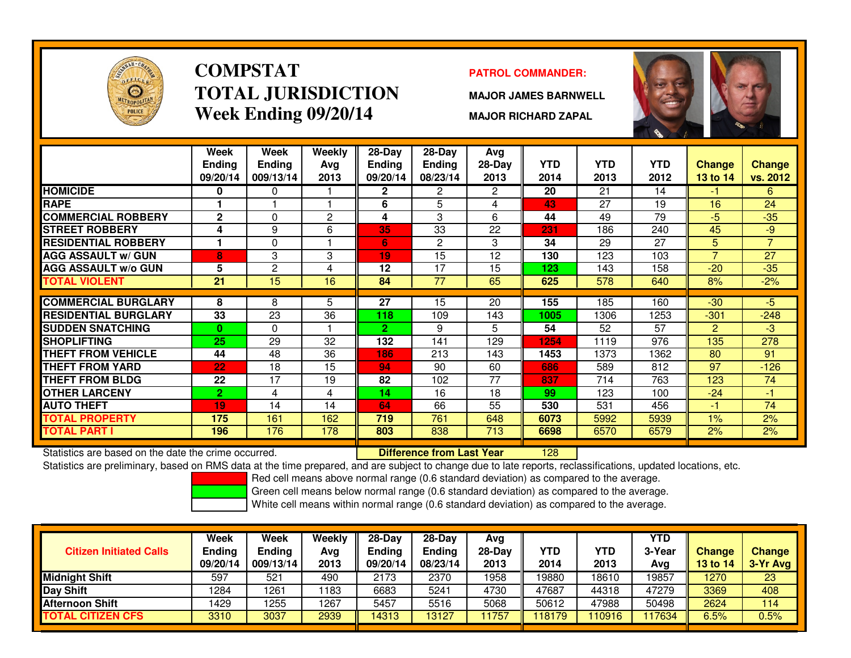

# **COMPSTATTOTAL JURISDICTIONWeek Ending 09/20/14**

### **PATROL COMMANDER:**

**MAJOR JAMES BARNWELL**

**MAJOR RICHARD ZAPAL**



|                             | Week<br><b>Ending</b><br>09/20/14 | Week<br><b>Ending</b><br>009/13/14 | <b>Weekly</b><br>Avg<br>2013 | $28-Day$<br>Ending<br>09/20/14 | $28-Day$<br><b>Ending</b><br>08/23/14 | Avg<br>28-Day<br>2013 | <b>YTD</b><br>2014 | <b>YTD</b><br>2013 | <b>YTD</b><br>2012 | <b>Change</b><br>13 to 14 | Change<br>vs. 2012 |
|-----------------------------|-----------------------------------|------------------------------------|------------------------------|--------------------------------|---------------------------------------|-----------------------|--------------------|--------------------|--------------------|---------------------------|--------------------|
| <b>HOMICIDE</b>             | 0                                 | 0                                  |                              | 2                              | $\overline{2}$                        | $\overline{2}$        | 20                 | 21                 | 14                 | -1                        | 6                  |
| <b>RAPE</b>                 |                                   |                                    |                              | 6                              | 5                                     | 4                     | 43                 | 27                 | 19                 | 16                        | 24                 |
| <b>COMMERCIAL ROBBERY</b>   | $\mathbf{2}$                      | 0                                  | $\overline{2}$               | 4                              | 3                                     | 6                     | 44                 | 49                 | 79                 | $-5$                      | $-35$              |
| <b>STREET ROBBERY</b>       | 4                                 | 9                                  | 6                            | 35                             | 33                                    | 22                    | 231                | 186                | 240                | 45                        | $-9$               |
| <b>RESIDENTIAL ROBBERY</b>  |                                   | 0                                  |                              | 6                              | 2                                     | 3                     | 34                 | 29                 | 27                 | 5                         | $\overline{7}$     |
| <b>AGG ASSAULT w/ GUN</b>   | 8                                 | 3                                  | 3                            | 19                             | 15                                    | 12                    | 130                | 123                | 103                | $\overline{7}$            | 27                 |
| <b>AGG ASSAULT w/o GUN</b>  | 5                                 | $\mathbf{2}$                       | 4                            | 12                             | 17                                    | 15                    | 123                | 143                | 158                | $-20$                     | $-35$              |
| <b>TOTAL VIOLENT</b>        | 21                                | 15                                 | 16                           | 84                             | 77                                    | 65                    | 625                | 578                | 640                | 8%                        | $-2%$              |
|                             |                                   |                                    |                              |                                |                                       |                       |                    |                    |                    |                           |                    |
| <b>COMMERCIAL BURGLARY</b>  | 8                                 | 8                                  | 5                            | $\overline{27}$                | 15                                    | 20                    | 155                | 185                | 160                | $-30$                     | $-5$               |
| <b>RESIDENTIAL BURGLARY</b> | 33                                | 23                                 | 36                           | 118                            | 109                                   | 143                   | 1005               | 1306               | 1253               | $-301$                    | $-248$             |
| <b>SUDDEN SNATCHING</b>     | $\bf{0}$                          | $\Omega$                           |                              | $\mathbf{2}$                   | 9                                     | 5.                    | 54                 | 52                 | 57                 | $\overline{2}$            | $-3$               |
| <b>SHOPLIFTING</b>          | 25                                | 29                                 | 32                           | 132                            | 141                                   | 129                   | 1254               | 1119               | 976                | 135                       | 278                |
| <b>THEFT FROM VEHICLE</b>   | 44                                | 48                                 | 36                           | 186                            | 213                                   | 143                   | 1453               | 1373               | 1362               | 80                        | 91                 |
| <b>THEFT FROM YARD</b>      | 22                                | 18                                 | 15                           | 94                             | 90                                    | 60                    | 686                | 589                | 812                | 97                        | $-126$             |
| <b>THEFT FROM BLDG</b>      | 22                                | 17                                 | 19                           | 82                             | 102                                   | 77                    | 837                | 714                | 763                | 123                       | 74                 |
| <b>OTHER LARCENY</b>        | $\mathbf{2}$                      | 4                                  | 4                            | 14                             | 16                                    | 18                    | 99                 | 123                | 100                | $-24$                     | -1                 |
| <b>AUTO THEFT</b>           | 19                                | 14                                 | 14                           | 64                             | 66                                    | 55                    | 530                | 531                | 456                | -1                        | 74                 |
| <b>TOTAL PROPERTY</b>       | 175                               | 161                                | 162                          | 719                            | 761                                   | 648                   | 6073               | 5992               | 5939               | $1\%$                     | 2%                 |
| <b>TOTAL PART I</b>         | 196                               | 176                                | 178                          | 803                            | 838                                   | 713                   | 6698               | 6570               | 6579               | 2%                        | 2%                 |

Statistics are based on the date the crime occurred. **Difference from Last Year** 

Statistics are based on the date the crime occurred. **Extended Lubber 128 Mark State are converted to change du**<br>Statistics are preliminary, based on RMS data at the time prepared, and are subject to change due to late rep

Red cell means above normal range (0.6 standard deviation) as compared to the average.

Green cell means below normal range (0.6 standard deviation) as compared to the average.

| <b>Citizen Initiated Calls</b> | Week<br><b>Ending</b><br>09/20/14 | Week<br><b>Ending</b><br>009/13/14 | Weekly<br>Avg<br>2013 | $28-Dav$<br><b>Endina</b><br>09/20/14 | $28-Dav$<br><b>Ending</b><br>08/23/14 | Avg<br>28-Dav<br>2013 | <b>YTD</b><br>2014 | YTD<br>2013 | YTD<br>3-Year<br>Avg | Change<br><b>13 to 14</b> | <b>Change</b><br>3-Yr Avg |
|--------------------------------|-----------------------------------|------------------------------------|-----------------------|---------------------------------------|---------------------------------------|-----------------------|--------------------|-------------|----------------------|---------------------------|---------------------------|
| <b>Midnight Shift</b>          | 597                               | 521                                | 490                   | 2173                                  | 2370                                  | 1958                  | 19880              | 18610       | 19857                | 1270                      | 23                        |
| <b>Day Shift</b>               | 1284                              | 1261                               | 1183                  | 6683                                  | 5241                                  | 4730                  | 47687              | 44318       | 47279                | 3369                      | 408                       |
| <b>Afternoon Shift</b>         | 1429                              | 1255                               | 1267                  | 5457                                  | 5516                                  | 5068                  | 50612              | 47988       | 50498                | 2624                      | 114                       |
| <b>TOTAL CITIZEN CFS</b>       | 3310                              | 3037                               | 2939                  | 14313                                 | 13127                                 | 1757                  | 118179             | 10916       | 117634               | 6.5%                      | $0.5\%$                   |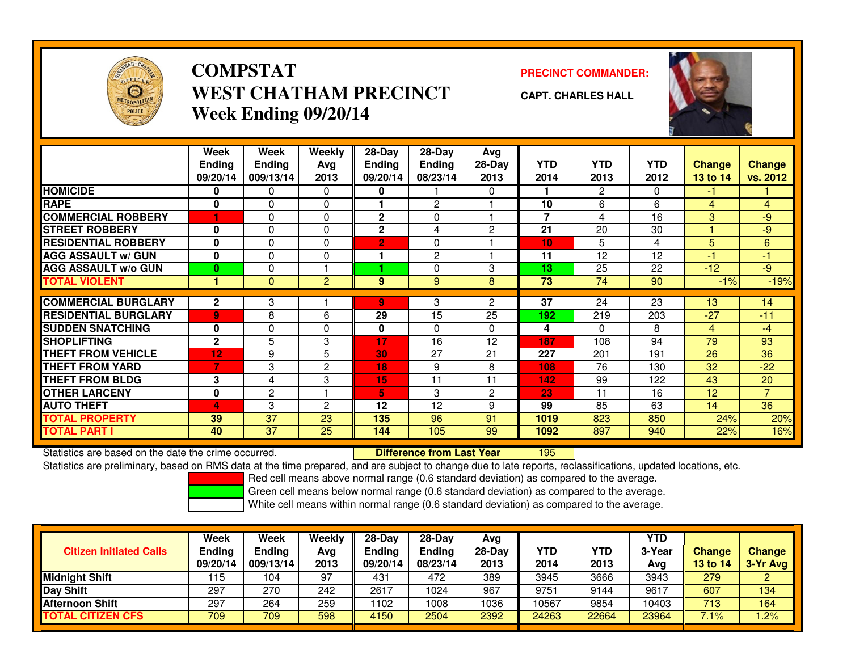

## **COMPSTATWEST CHATHAM PRECINCTWeek Ending 09/20/14**

**PRECINCT COMMANDER:**



**CAPT. CHARLES HALL**

|                             | Week<br><b>Ending</b><br>09/20/14 | Week<br><b>Ending</b><br>009/13/14 | Weekly<br>Avg<br>2013 | $28$ -Day<br><b>Ending</b><br>09/20/14 | $28$ -Day<br><b>Ending</b><br>08/23/14 | Avg<br>$28-Day$<br>2013 | <b>YTD</b><br>2014 | <b>YTD</b><br>2013 | YTD<br>2012 | <b>Change</b><br>13 to 14 | <b>Change</b><br>vs. 2012 |
|-----------------------------|-----------------------------------|------------------------------------|-----------------------|----------------------------------------|----------------------------------------|-------------------------|--------------------|--------------------|-------------|---------------------------|---------------------------|
| <b>HOMICIDE</b>             | 0                                 | $\Omega$                           | 0                     | 0                                      |                                        | $\Omega$                |                    | 2                  | $\Omega$    | -1                        |                           |
| <b>RAPE</b>                 | $\mathbf{0}$                      | $\Omega$                           | 0                     |                                        | $\overline{2}$                         |                         | 10                 | 6                  | 6           | 4                         | $\overline{4}$            |
| <b>COMMERCIAL ROBBERY</b>   |                                   | 0                                  | 0                     | $\mathbf{2}$                           | 0                                      |                         | 7                  | 4                  | 16          | 3                         | -9                        |
| <b>STREET ROBBERY</b>       | $\bf{0}$                          | $\Omega$                           | 0                     | $\mathbf{2}$                           | 4                                      | $\overline{c}$          | 21                 | 20                 | 30          |                           | $-9$                      |
| <b>RESIDENTIAL ROBBERY</b>  | $\bf{0}$                          | $\Omega$                           | 0                     | $\overline{2}$                         | 0                                      |                         | 10                 | 5                  | 4           | 5                         | 6                         |
| <b>AGG ASSAULT w/ GUN</b>   | $\bf{0}$                          | $\Omega$                           | 0                     |                                        | $\overline{2}$                         |                         | 11                 | 12                 | 12          | $\blacksquare$            | $-1$                      |
| <b>AGG ASSAULT w/o GUN</b>  | $\bf{0}$                          | $\Omega$                           |                       |                                        | $\Omega$                               | 3                       | 13                 | 25                 | 22          | $-12$                     | $-9$                      |
| TOTAL VIOLENT               |                                   | $\mathbf{0}$                       | $\overline{2}$        | 9                                      | 9                                      | 8                       | 73                 | 74                 | 90          | $-1%$                     | $-19%$                    |
|                             |                                   |                                    |                       |                                        |                                        |                         |                    |                    |             |                           |                           |
| <b>COMMERCIAL BURGLARY</b>  | $\mathbf{2}$                      | 3                                  |                       | 9                                      | 3                                      | 2                       | 37                 | 24                 | 23          | 13                        | 14                        |
| <b>RESIDENTIAL BURGLARY</b> | $\overline{9}$                    | 8                                  | 6                     | 29                                     | 15                                     | 25                      | 192                | 219                | 203         | $-27$                     | $-11$                     |
| <b>SUDDEN SNATCHING</b>     | $\bf{0}$                          | $\Omega$                           | 0                     | 0                                      | $\Omega$                               | $\Omega$                | 4                  | 0                  | 8           | 4                         | -4                        |
| <b>SHOPLIFTING</b>          | $\mathbf{2}$                      | 5                                  | 3                     | 17                                     | 16                                     | 12                      | 187                | 108                | 94          | 79                        | 93                        |
| <b>THEFT FROM VEHICLE</b>   | 12                                | 9                                  | 5                     | 30                                     | 27                                     | 21                      | 227                | 201                | 191         | 26                        | 36                        |
| <b>THEFT FROM YARD</b>      | 7                                 | 3                                  | $\overline{c}$        | 18                                     | 9                                      | 8                       | 108                | 76                 | 130         | 32                        | $-22$                     |
| <b>THEFT FROM BLDG</b>      | 3                                 | 4                                  | 3                     | 15                                     | 11                                     | 11                      | 142                | 99                 | 122         | 43                        | 20                        |
| <b>OTHER LARCENY</b>        | $\mathbf{0}$                      | $\overline{2}$                     |                       | 5                                      | 3                                      | $\overline{2}$          | 23                 | 11                 | 16          | 12                        | $\overline{7}$            |
| <b>AUTO THEFT</b>           | 4                                 | 3                                  | $\overline{c}$        | 12                                     | 12                                     | 9                       | 99                 | 85                 | 63          | 14                        | 36                        |
| TOTAL PROPERTY              | 39                                | 37                                 | 23                    | 135                                    | 96                                     | 91                      | 1019               | 823                | 850         | 24%                       | 20%                       |
| TOTAL PART I                | 40                                | 37                                 | 25                    | 144                                    | 105                                    | 99                      | 1092               | 897                | 940         | 22%                       | 16%                       |

Statistics are based on the date the crime occurred. **Difference from Last Year** 

Statistics are based on the date the crime occurred. **Externee the Luid Confference from Last Year The Statistics are** based on the date trime occurred.<br>Statistics are preliminary, based on RMS data at the time prepared, a

Red cell means above normal range (0.6 standard deviation) as compared to the average.

Green cell means below normal range (0.6 standard deviation) as compared to the average.

| <b>Citizen Initiated Calls</b> | Week<br>Endina<br>09/20/14 | Week<br><b>Ending</b><br>009/13/14 | Weekly<br>Avg<br>2013 | $28-Day$<br><b>Endina</b><br>09/20/14 | $28$ -Dav<br><b>Ending</b><br>08/23/14 | Avg<br>28-Day<br>2013 | YTD<br>2014 | YTD<br>2013 | <b>YTD</b><br>3-Year<br>Avg | <b>Change</b><br>13 to 14 | <b>Change</b><br>3-Yr Avg |
|--------------------------------|----------------------------|------------------------------------|-----------------------|---------------------------------------|----------------------------------------|-----------------------|-------------|-------------|-----------------------------|---------------------------|---------------------------|
| <b>Midnight Shift</b>          | 115                        | 104                                | 97                    | 431                                   | 472                                    | 389                   | 3945        | 3666        | 3943                        | 279                       | 2                         |
| Day Shift                      | 297                        | 270                                | 242                   | 2617                                  | 1024                                   | 967                   | 9751        | 9144        | 9617                        | 607                       | 134                       |
| <b>Afternoon Shift</b>         | 297                        | 264                                | 259                   | 1102                                  | 1008                                   | 1036                  | 10567       | 9854        | 10403                       | 713                       | 164                       |
| <b>TOTAL CITIZEN CFS</b>       | 709                        | 709                                | 598                   | 4150                                  | 2504                                   | 2392                  | 24263       | 22664       | 23964                       | 7.1%                      | .2%                       |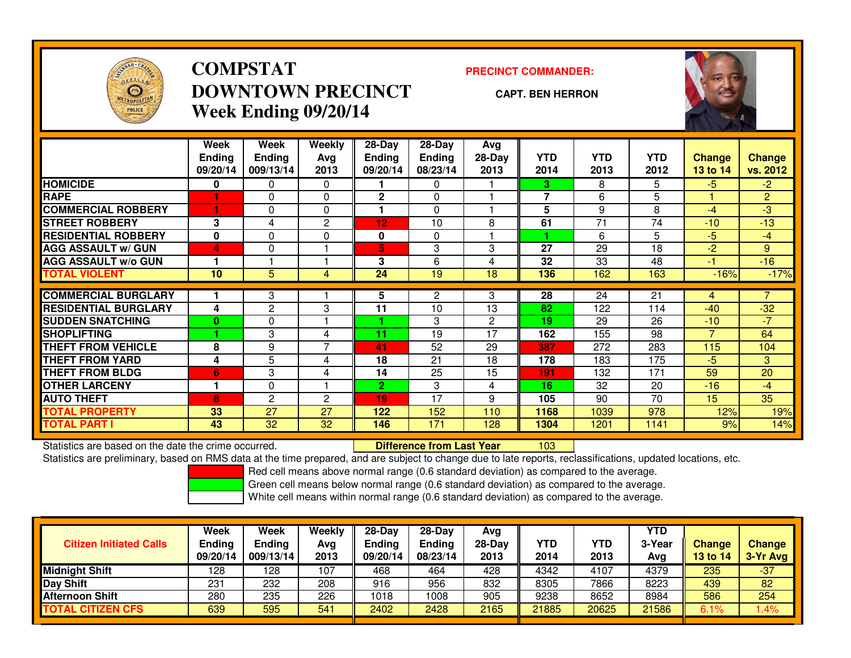

## **COMPSTATDOWNTOWN PRECINCTWeek Ending 09/20/14**

### **PRECINCT COMMANDER:**

### **CAPT. BEN HERRON**

<sup>103</sup>



|                             | Week          | Week           | <b>Weekly</b>  | $28-Day$         | $28 - Day$    | Avg            |                |            |            |          |                |
|-----------------------------|---------------|----------------|----------------|------------------|---------------|----------------|----------------|------------|------------|----------|----------------|
|                             | <b>Ending</b> | <b>Ending</b>  | Avg            | <b>Ending</b>    | <b>Ending</b> | 28-Day         | <b>YTD</b>     | <b>YTD</b> | <b>YTD</b> | Change   | <b>Change</b>  |
|                             | 09/20/14      | 009/13/14      | 2013           | 09/20/14         | 08/23/14      | 2013           | 2014           | 2013       | 2012       | 13 to 14 | vs. 2012       |
| <b>HOMICIDE</b>             | 0             | 0              | 0              |                  | $\Omega$      |                | 3              | 8          | 5          | $-5$     | $-2$           |
| <b>RAPE</b>                 |               | 0              | $\Omega$       | $\mathbf{2}$     | $\Omega$      |                | $\overline{7}$ | 6          | 5          |          | $\overline{2}$ |
| <b>COMMERCIAL ROBBERY</b>   |               | 0              | $\mathbf 0$    |                  | $\Omega$      |                | 5              | 9          | 8          | $-4$     | $-3$           |
| <b>STREET ROBBERY</b>       | 3             | 4              | $\overline{c}$ | 12 <sub>12</sub> | 10            | 8              | 61             | 71         | 74         | $-10$    | $-13$          |
| <b>RESIDENTIAL ROBBERY</b>  | 0             | 0              | $\mathbf 0$    | 0                | $\Omega$      |                | 4              | 6          | 5          | $-5$     | $-4$           |
| <b>AGG ASSAULT w/ GUN</b>   | 4             | 0              |                | 5                | 3             | 3              | 27             | 29         | 18         | $-2$     | 9              |
| <b>AGG ASSAULT w/o GUN</b>  | 1             |                |                | 3                | 6             | 4              | 32             | 33         | 48         | $-1$     | $-16$          |
| <b>TOTAL VIOLENT</b>        | 10            | 5              | 4              | 24               | 19            | 18             | 136            | 162        | 163        | $-16%$   | $-17%$         |
|                             |               |                |                |                  |               |                | 28             | 24         | 21         |          | 7              |
| <b>COMMERCIAL BURGLARY</b>  |               | 3              |                | 5                | 2             | 3              |                |            |            | 4        |                |
| <b>RESIDENTIAL BURGLARY</b> | 4             | 2              | 3              | 11               | 10            | 13             | 82             | 122        | 114        | $-40$    | $-32$          |
| <b>SUDDEN SNATCHING</b>     | $\bf{0}$      | 0              |                |                  | 3             | $\overline{2}$ | 19             | 29         | 26         | $-10$    | $-7$           |
| <b>SHOPLIFTING</b>          |               | 3              | 4              | 11               | 19            | 17             | 162            | 155        | 98         | 7        | 64             |
| <b>THEFT FROM VEHICLE</b>   | 8             | 9              | 7              | 41               | 52            | 29             | 387            | 272        | 283        | 115      | 104            |
| <b>THEFT FROM YARD</b>      | 4             | 5              | 4              | 18               | 21            | 18             | 178            | 183        | 175        | $-5$     | 3              |
| <b>THEFT FROM BLDG</b>      | 6             | 3              | 4              | 14               | 25            | 15             | 191            | 132        | 171        | 59       | 20             |
| <b>OTHER LARCENY</b>        | 1             | 0              |                | $\overline{2}$   | 3             | 4              | 16             | 32         | 20         | $-16$    | $-4$           |
| <b>AUTO THEFT</b>           | 8             | $\overline{c}$ | $\mathbf{2}$   | 19               | 17            | 9              | 105            | 90         | 70         | 15       | 35             |
| <b>TOTAL PROPERTY</b>       | 33            | 27             | 27             | 122              | 152           | 110            | 1168           | 1039       | 978        | 12%      | 19%            |
| <b>TOTAL PART I</b>         | 43            | 32             | 32             | 146              | 171           | 128            | 1304           | 1201       | 1141       | 9%       | 14%            |

Statistics are based on the date the crime occurred. **Difference from Last Year** 

Statistics are preliminary, based on RMS data at the time prepared, and are subject to change due to late reports, reclassifications, updated locations, etc.

Red cell means above normal range (0.6 standard deviation) as compared to the average.

Green cell means below normal range (0.6 standard deviation) as compared to the average.

| <b>Citizen Initiated Calls</b> | <b>Week</b><br><b>Ending</b><br>09/20/14 | Week<br><b>Ending</b><br>009/13/14 | Weekly<br>Avg<br>2013 | $28-Dav$<br><b>Ending</b><br>09/20/14 | $28-Dav$<br>Ending<br>08/23/14 | Avg<br>$28-Dav$<br>2013 | YTD<br>2014 | <b>YTD</b><br>2013 | YTD<br>3-Year<br>Avg | <b>Change</b><br><b>13 to 14</b> | <b>Change</b><br>3-Yr Avg |
|--------------------------------|------------------------------------------|------------------------------------|-----------------------|---------------------------------------|--------------------------------|-------------------------|-------------|--------------------|----------------------|----------------------------------|---------------------------|
| <b>Midnight Shift</b>          | 128                                      | 128                                | 107                   | 468                                   | 464                            | 428                     | 4342        | 4107               | 4379                 | 235                              | $-37$                     |
| <b>Day Shift</b>               | 231                                      | 232                                | 208                   | 916                                   | 956                            | 832                     | 8305        | 7866               | 8223                 | 439                              | 82                        |
| <b>Afternoon Shift</b>         | 280                                      | 235                                | 226                   | 1018                                  | 1008                           | 905                     | 9238        | 8652               | 8984                 | 586                              | 254                       |
| <b>TOTAL CITIZEN CFS</b>       | 639                                      | 595                                | 541                   | 2402                                  | 2428                           | 2165                    | 21885       | 20625              | 21586                | 6.1%                             | .4%                       |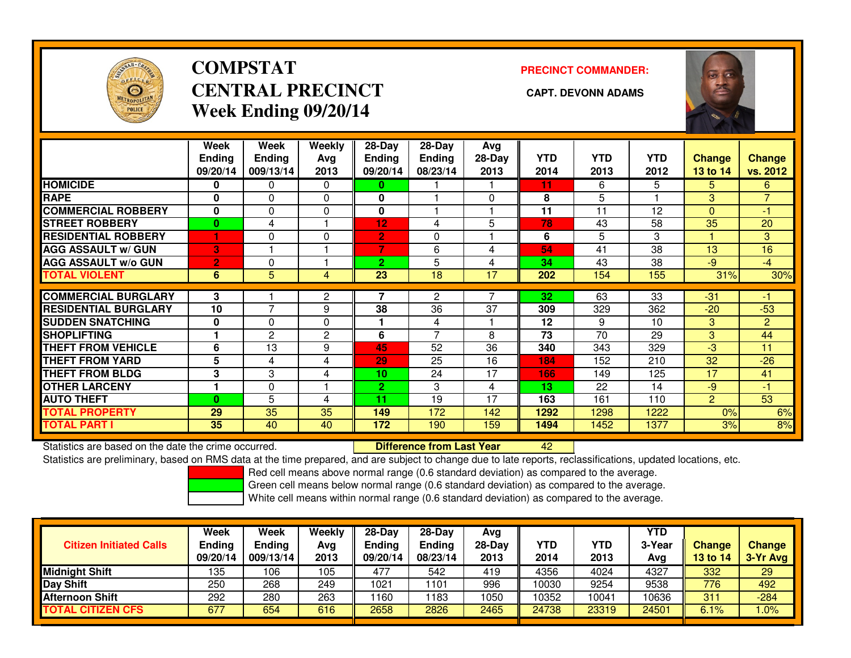

## **COMPSTATCENTRAL PRECINCT CAPT. DEVONN ADAMSWeek Ending 09/20/14**

**PRECINCT COMMANDER:**



|                             | Week<br><b>Ending</b><br>09/20/14 | Week<br><b>Ending</b><br>009/13/14 | <b>Weekly</b><br>Ava<br>2013 | $28$ -Day<br>Endina<br>09/20/14 | $28$ -Day<br><b>Endina</b><br>08/23/14 | Avg<br>$28-Day$<br>2013 | <b>YTD</b><br>2014 | <b>YTD</b><br>2013 | <b>YTD</b><br>2012 | <b>Change</b><br>13 to 14 | Change<br>vs. 2012 |
|-----------------------------|-----------------------------------|------------------------------------|------------------------------|---------------------------------|----------------------------------------|-------------------------|--------------------|--------------------|--------------------|---------------------------|--------------------|
| <b>HOMICIDE</b>             | 0                                 | 0                                  | 0                            | 0                               |                                        |                         | 11                 | 6                  | 5                  | 5.                        | 6.                 |
| <b>RAPE</b>                 | 0                                 | 0                                  | $\Omega$                     | 0                               |                                        | 0                       | 8                  | 5                  |                    | 3                         | $\overline{7}$     |
| <b>COMMERCIAL ROBBERY</b>   | $\bf{0}$                          | 0                                  | 0                            | 0                               |                                        |                         | 11                 | 11                 | 12                 | $\Omega$                  | -1                 |
| <b>STREET ROBBERY</b>       | $\bf{0}$                          | 4                                  |                              | 12                              | 4                                      | 5                       | 78                 | 43                 | 58                 | 35                        | 20                 |
| <b>RESIDENTIAL ROBBERY</b>  |                                   | 0                                  | 0                            | $\overline{2}$                  | 0                                      |                         | 6                  | 5                  | 3                  | н                         | 3                  |
| <b>AGG ASSAULT w/ GUN</b>   | 3                                 |                                    |                              | 7                               | 6                                      | 4                       | 54                 | 41                 | 38                 | 13                        | 16                 |
| <b>AGG ASSAULT w/o GUN</b>  | $\overline{2}$                    | 0                                  |                              | $\overline{2}$                  | 5                                      | 4                       | 34                 | 43                 | 38                 | $-9$                      | $-4$               |
| <b>TOTAL VIOLENT</b>        | 6                                 | 5                                  | 4                            | 23                              | 18                                     | 17                      | 202                | 154                | 155                | 31%                       | 30%                |
| <b>COMMERCIAL BURGLARY</b>  | 3                                 |                                    | 2                            | 7                               | 2                                      |                         | 32                 | 63                 | 33                 | $-31$                     | -1                 |
| <b>RESIDENTIAL BURGLARY</b> | 10                                | $\overline{7}$                     | 9                            | 38                              | 36                                     | 37                      | 309                | 329                | 362                | $-20$                     | $-53$              |
| <b>SUDDEN SNATCHING</b>     | 0                                 | 0                                  | $\Omega$                     |                                 | 4                                      |                         | 12                 | 9                  | 10                 | 3                         | $\overline{2}$     |
| <b>SHOPLIFTING</b>          |                                   | $\mathbf{2}$                       | $\overline{2}$               | 6                               | ⇁                                      | 8                       | 73                 | 70                 | 29                 | 3                         | 44                 |
| <b>THEFT FROM VEHICLE</b>   | 6                                 | 13                                 | 9                            | 45                              | 52                                     | 36                      | 340                | 343                | 329                | -3                        | 11                 |
| <b>THEFT FROM YARD</b>      | 5                                 | 4                                  | 4                            | 29                              | 25                                     | 16                      | 184                | 152                | 210                | 32                        | $-26$              |
| <b>THEFT FROM BLDG</b>      | 3                                 | 3                                  | 4                            | 10                              | 24                                     | 17                      | 166                | 149                | 125                | 17                        | 41                 |
| <b>OTHER LARCENY</b>        |                                   | 0                                  |                              | $\overline{2}$                  | 3                                      | 4                       | 13                 | 22                 | 14                 | -9                        | $-1$               |
| <b>AUTO THEFT</b>           | $\bf{0}$                          | 5                                  | 4                            | 11                              | 19                                     | 17                      | 163                | 161                | 110                | 2                         | 53                 |
| <b>TOTAL PROPERTY</b>       | 29                                | 35                                 | 35                           | 149                             | 172                                    | 142                     | 1292               | 1298               | 1222               | 0%                        | 6%                 |
| <b>TOTAL PART I</b>         | 35                                | 40                                 | 40                           | 172                             | 190                                    | 159                     | 1494               | 1452               | 1377               | 3%                        | 8%                 |

Statistics are based on the date the crime occurred. **Difference from Last Year** 

Statistics are based on the date the crime occurred. **Externee the Lub of Lifterence from Last Year Mated Mated St**<br>Statistics are preliminary, based on RMS data at the time prepared, and are subject to change due to late

Red cell means above normal range (0.6 standard deviation) as compared to the average.

Green cell means below normal range (0.6 standard deviation) as compared to the average.

| <b>Citizen Initiated Calls</b> | <b>Week</b><br><b>Ending</b><br>09/20/14 | Week<br>Ending<br>009/13/14 | Weekly<br>Avg<br>2013 | $28-Dav$<br><b>Ending</b><br>09/20/14 | $28-Dav$<br><b>Endina</b><br>08/23/14 | Avg<br>$28-Day$<br>2013 | <b>YTD</b><br>2014 | <b>YTD</b><br>2013 | <b>YTD</b><br>3-Year<br>Avg | <b>Change</b><br>13 to 14 | <b>Change</b><br>$3-Yr$ Avg |
|--------------------------------|------------------------------------------|-----------------------------|-----------------------|---------------------------------------|---------------------------------------|-------------------------|--------------------|--------------------|-----------------------------|---------------------------|-----------------------------|
| <b>Midnight Shift</b>          | 135                                      | 106                         | 105                   | 477                                   | 542                                   | 419                     | 4356               | 4024               | 4327                        | 332                       | 29                          |
| Day Shift                      | 250                                      | 268                         | 249                   | 1021                                  | 1101                                  | 996                     | 10030              | 9254               | 9538                        | 776                       | 492                         |
| <b>Afternoon Shift</b>         | 292                                      | 280                         | 263                   | 160                                   | 1183                                  | 1050                    | 10352              | 10041              | 10636                       | 311                       | $-284$                      |
| <b>TOTAL CITIZEN CFS</b>       | 677                                      | 654                         | 616                   | 2658                                  | 2826                                  | 2465                    | 24738              | 23319              | 24501                       | 6.1%                      | .0%                         |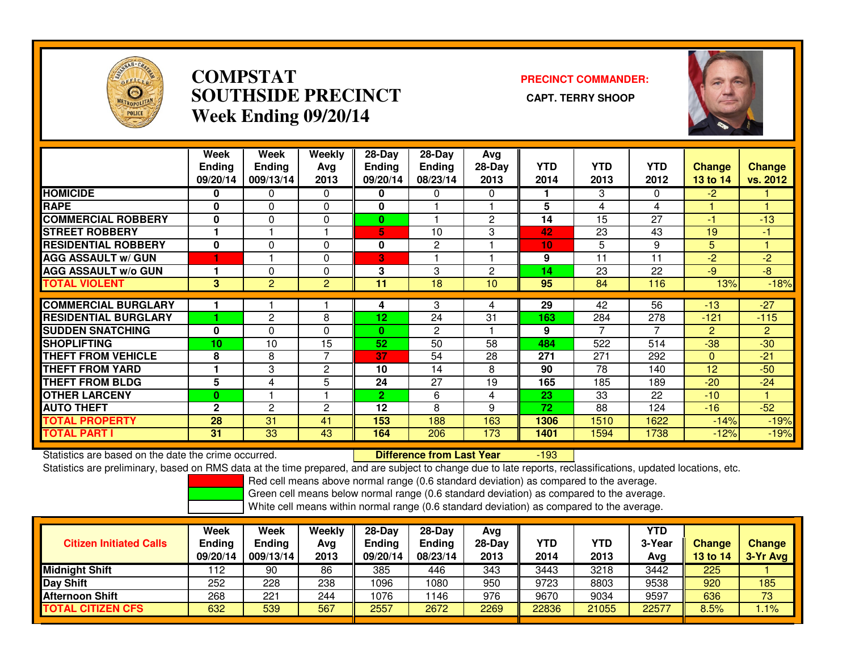

### **COMPSTAT PRECINCT COMMANDER: SOUTHSIDE PRECINCT CAPT. TERRY SHOOPWeek Ending 09/20/14**



|                             | Week<br><b>Ending</b><br>09/20/14 | Week<br>Ending<br>009/13/14 | Weekly<br>Ava<br>2013 | $28$ -Day<br><b>Ending</b><br>09/20/14 | $28-Day$<br><b>Ending</b><br>08/23/14 | Ava<br>$28-Day$<br>2013 | <b>YTD</b><br>2014 | <b>YTD</b><br>2013 | <b>YTD</b><br>2012 | <b>Change</b><br><b>13 to 14</b> | <b>Change</b><br>vs. 2012 |
|-----------------------------|-----------------------------------|-----------------------------|-----------------------|----------------------------------------|---------------------------------------|-------------------------|--------------------|--------------------|--------------------|----------------------------------|---------------------------|
| <b>HOMICIDE</b>             | 0                                 | $\mathbf{0}$                | 0                     | 0                                      | 0                                     | 0                       |                    | 3                  | 0                  | $-2$                             |                           |
| <b>RAPE</b>                 | 0                                 | $\Omega$                    | 0                     |                                        |                                       |                         | 5                  | 4                  | 4                  |                                  |                           |
| <b>COMMERCIAL ROBBERY</b>   | $\bf{0}$                          | $\Omega$                    | 0                     | $\bf{0}$                               |                                       | $\overline{2}$          | 14                 | 15                 | 27                 | $-1$                             | $-13$                     |
| <b>STREET ROBBERY</b>       |                                   |                             |                       | 5                                      | 10                                    | 3                       | 42                 | 23                 | 43                 | 19                               | -1                        |
| <b>RESIDENTIAL ROBBERY</b>  | 0                                 | $\Omega$                    | $\Omega$              | 0                                      | 2                                     |                         | 10                 | 5                  | 9                  | 5                                |                           |
| <b>AGG ASSAULT w/ GUN</b>   |                                   |                             | $\Omega$              | 3                                      |                                       |                         | 9                  | 11                 | 11                 | $-2$                             | $-2$                      |
| <b>AGG ASSAULT w/o GUN</b>  |                                   | 0                           | 0                     | 3                                      | 3                                     | $\overline{2}$          | 14                 | 23                 | 22                 | $-9$                             | $-8$                      |
| <b>TOTAL VIOLENT</b>        | 3                                 | $\overline{2}$              | $\overline{2}$        | 11                                     | 18                                    | 10                      | 95                 | 84                 | 116                | 13%                              | $-18%$                    |
|                             |                                   |                             |                       |                                        |                                       |                         |                    |                    |                    |                                  |                           |
| <b>COMMERCIAL BURGLARY</b>  |                                   |                             |                       | 4                                      | 3                                     | 4                       | 29                 | 42                 | 56                 | $-13$                            | $-27$                     |
| <b>RESIDENTIAL BURGLARY</b> |                                   | $\overline{2}$              | 8                     | 12 <sub>2</sub>                        | 24                                    | 31                      | 163                | 284                | 278                | $-121$                           | $-115$                    |
| <b>SUDDEN SNATCHING</b>     | $\bf{0}$                          | 0                           | 0                     | $\mathbf{0}$                           | 2                                     |                         | 9                  | 7                  | 7                  | $\overline{2}$                   | $\overline{2}$            |
| <b>SHOPLIFTING</b>          | 10                                | 10                          | 15                    | 52                                     | 50                                    | 58                      | 484                | 522                | 514                | $-38$                            | $-30$                     |
| <b>THEFT FROM VEHICLE</b>   | 8                                 | 8                           | $\overline{7}$        | 37                                     | 54                                    | 28                      | 271                | 271                | 292                | $\Omega$                         | $-21$                     |
| <b>THEFT FROM YARD</b>      |                                   | 3                           | 2                     | 10                                     | 14                                    | 8                       | 90                 | 78                 | 140                | 12                               | $-50$                     |
| <b>THEFT FROM BLDG</b>      | 5                                 | 4                           | 5                     | 24                                     | 27                                    | 19                      | 165                | 185                | 189                | $-20$                            | $-24$                     |
| <b>OTHER LARCENY</b>        | $\bf{0}$                          |                             |                       | $\overline{2}$                         | 6                                     | 4                       | 23                 | 33                 | 22                 | $-10$                            |                           |
| <b>AUTO THEFT</b>           | $\mathbf{2}$                      | 2                           | $\overline{c}$        | 12                                     | 8                                     | 9                       | 72                 | 88                 | 124                | $-16$                            | $-52$                     |
| <b>TOTAL PROPERTY</b>       | 28                                | 31                          | 41                    | 153                                    | 188                                   | 163                     | 1306               | 1510               | 1622               | $-14%$                           | $-19%$                    |
| <b>TOTAL PART I</b>         | 31                                | 33                          | 43                    | 164                                    | 206                                   | 173                     | 1401               | 1594               | 1738               | $-12%$                           | $-19%$                    |

Statistics are based on the date the crime occurred. **Difference from Last Year** 

-193

Statistics are preliminary, based on RMS data at the time prepared, and are subject to change due to late reports, reclassifications, updated locations, etc.

Red cell means above normal range (0.6 standard deviation) as compared to the average.

Green cell means below normal range (0.6 standard deviation) as compared to the average.

| <b>Citizen Initiated Calls</b> | Week<br><b>Ending</b><br>09/20/14 | Week<br><b>Ending</b><br>009/13/14 | <b>Weekly</b><br>Avg<br>2013 | $28-Dav$<br><b>Ending</b><br>09/20/14 | $28-Dav$<br><b>Ending</b><br>08/23/14 | Avg<br>28-Dav<br>2013 | YTD<br>2014 | YTD<br>2013 | <b>YTD</b><br>3-Year<br>Avg | <b>Change</b><br><b>13 to 14</b> | <b>Change</b><br>3-Yr Avg |
|--------------------------------|-----------------------------------|------------------------------------|------------------------------|---------------------------------------|---------------------------------------|-----------------------|-------------|-------------|-----------------------------|----------------------------------|---------------------------|
| <b>Midnight Shift</b>          | 112                               | 90                                 | 86                           | 385                                   | 446                                   | 343                   | 3443        | 3218        | 3442                        | 225                              |                           |
| <b>Day Shift</b>               | 252                               | 228                                | 238                          | 1096                                  | 1080                                  | 950                   | 9723        | 8803        | 9538                        | 920                              | 185                       |
| <b>Afternoon Shift</b>         | 268                               | $22 -$                             | 244                          | 1076                                  | 146                                   | 976                   | 9670        | 9034        | 9597                        | 636                              | 73                        |
| <b>TOTAL CITIZEN CFS</b>       | 632                               | 539                                | 567                          | 2557                                  | 2672                                  | 2269                  | 22836       | 21055       | 22577                       | 8.5%                             | $1.1\%$                   |